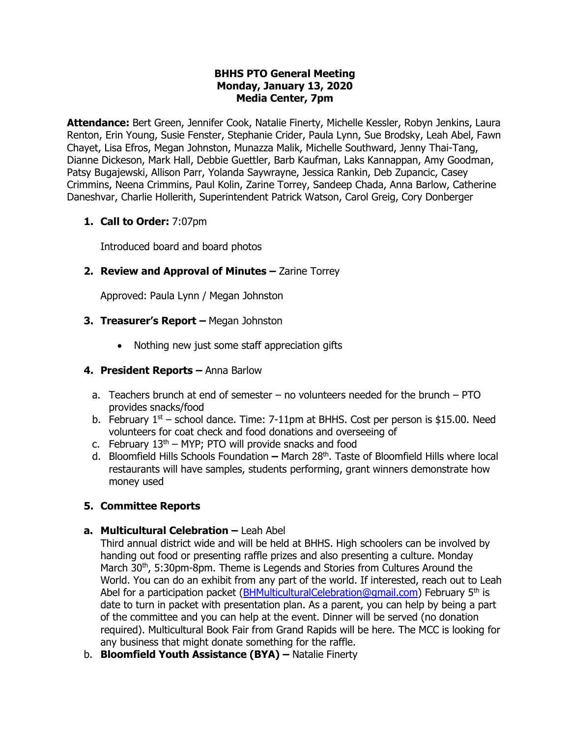#### **BHHS PTO General Meeting Monday, January 13, 2020 Media Center, 7pm**

**Attendance:** Bert Green, Jennifer Cook, Natalie Finerty, Michelle Kessler, Robyn Jenkins, Laura Renton, Erin Young, Susie Fenster, Stephanie Crider, Paula Lynn, Sue Brodsky, Leah Abel, Fawn Chayet, Lisa Efros, Megan Johnston, Munazza Malik, Michelle Southward, Jenny Thai-Tang, Dianne Dickeson, Mark Hall, Debbie Guettler, Barb Kaufman, Laks Kannappan, Amy Goodman, Patsy Bugajewski, Allison Parr, Yolanda Saywrayne, Jessica Rankin, Deb Zupancic, Casey Crimmins, Neena Crimmins, Paul Kolin, Zarine Torrey, Sandeep Chada, Anna Barlow, Catherine Daneshvar, Charlie Hollerith, Superintendent Patrick Watson, Carol Greig, Cory Donberger

## **1. Call to Order:** 7:07pm

Introduced board and board photos

# **2. Review and Approval of Minutes - Zarine Torrey**

Approved: Paula Lynn / Megan Johnston

## **3. Treasurer's Report –** Megan Johnston

• Nothing new just some staff appreciation gifts

#### **4. President Reports –** Anna Barlow

- a. Teachers brunch at end of semester no volunteers needed for the brunch PTO provides snacks/food
- b. February  $1<sup>st</sup>$  school dance. Time: 7-11pm at BHHS. Cost per person is \$15.00. Need volunteers for coat check and food donations and overseeing of
- c. February  $13<sup>th</sup>$  MYP; PTO will provide snacks and food
- d. Bloomfield Hills Schools Foundation **–** March 28th. Taste of Bloomfield Hills where local restaurants will have samples, students performing, grant winners demonstrate how money used

# **5. Committee Reports**

# **a. Multicultural Celebration –** Leah Abel

Third annual district wide and will be held at BHHS. High schoolers can be involved by handing out food or presenting raffle prizes and also presenting a culture. Monday March 30<sup>th</sup>, 5:30pm-8pm. Theme is Legends and Stories from Cultures Around the World. You can do an exhibit from any part of the world. If interested, reach out to Leah Abel for a participation packet ( $BHMulticulturalCelebration@qmail.com$ ) February 5<sup>th</sup> is date to turn in packet with presentation plan. As a parent, you can help by being a part of the committee and you can help at the event. Dinner will be served (no donation required). Multicultural Book Fair from Grand Rapids will be here. The MCC is looking for any business that might donate something for the raffle.

b. **Bloomfield Youth Assistance (BYA) –** Natalie Finerty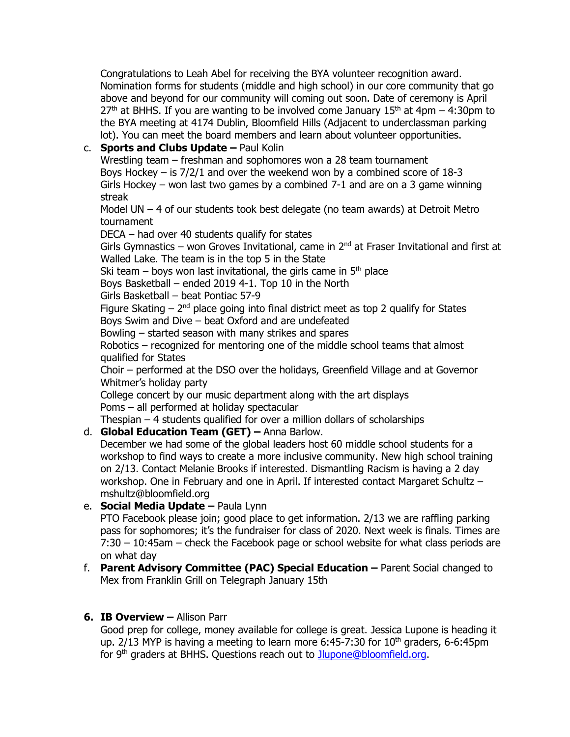Congratulations to Leah Abel for receiving the BYA volunteer recognition award. Nomination forms for students (middle and high school) in our core community that go above and beyond for our community will coming out soon. Date of ceremony is April  $27<sup>th</sup>$  at BHHS. If you are wanting to be involved come January 15<sup>th</sup> at 4pm – 4:30pm to the BYA meeting at 4174 Dublin, Bloomfield Hills (Adjacent to underclassman parking lot). You can meet the board members and learn about volunteer opportunities.

# c. **Sports and Clubs Update –** Paul Kolin

Wrestling team – freshman and sophomores won a 28 team tournament Boys Hockey  $-$  is  $7/2/1$  and over the weekend won by a combined score of 18-3 Girls Hockey – won last two games by a combined 7-1 and are on a 3 game winning streak

Model UN – 4 of our students took best delegate (no team awards) at Detroit Metro tournament

DECA – had over 40 students qualify for states

Girls Gymnastics – won Groves Invitational, came in  $2^{nd}$  at Fraser Invitational and first at Walled Lake. The team is in the top 5 in the State

Ski team – boys won last invitational, the girls came in  $5<sup>th</sup>$  place

Boys Basketball – ended 2019 4-1. Top 10 in the North

Girls Basketball – beat Pontiac 57-9

Figure Skating  $-2<sup>nd</sup>$  place going into final district meet as top 2 qualify for States Boys Swim and Dive – beat Oxford and are undefeated

Bowling – started season with many strikes and spares

Robotics – recognized for mentoring one of the middle school teams that almost qualified for States

Choir – performed at the DSO over the holidays, Greenfield Village and at Governor Whitmer's holiday party

College concert by our music department along with the art displays Poms – all performed at holiday spectacular

Thespian – 4 students qualified for over a million dollars of scholarships

# d. **Global Education Team (GET) –** Anna Barlow.

December we had some of the global leaders host 60 middle school students for a workshop to find ways to create a more inclusive community. New high school training on 2/13. Contact Melanie Brooks if interested. Dismantling Racism is having a 2 day workshop. One in February and one in April. If interested contact Margaret Schultz – mshultz@bloomfield.org

# e. **Social Media Update –** Paula Lynn

PTO Facebook please join; good place to get information. 2/13 we are raffling parking pass for sophomores; it's the fundraiser for class of 2020. Next week is finals. Times are 7:30 – 10:45am – check the Facebook page or school website for what class periods are on what day

## f. **Parent Advisory Committee (PAC) Special Education –** Parent Social changed to Mex from Franklin Grill on Telegraph January 15th

# **6. IB Overview –** Allison Parr

Good prep for college, money available for college is great. Jessica Lupone is heading it up.  $2/13$  MYP is having a meeting to learn more 6:45-7:30 for  $10<sup>th</sup>$  graders, 6-6:45pm for 9<sup>th</sup> graders at BHHS. Questions reach out to [Jlupone@bloomfield.org.](mailto:Jlupone@bloomfield.org)